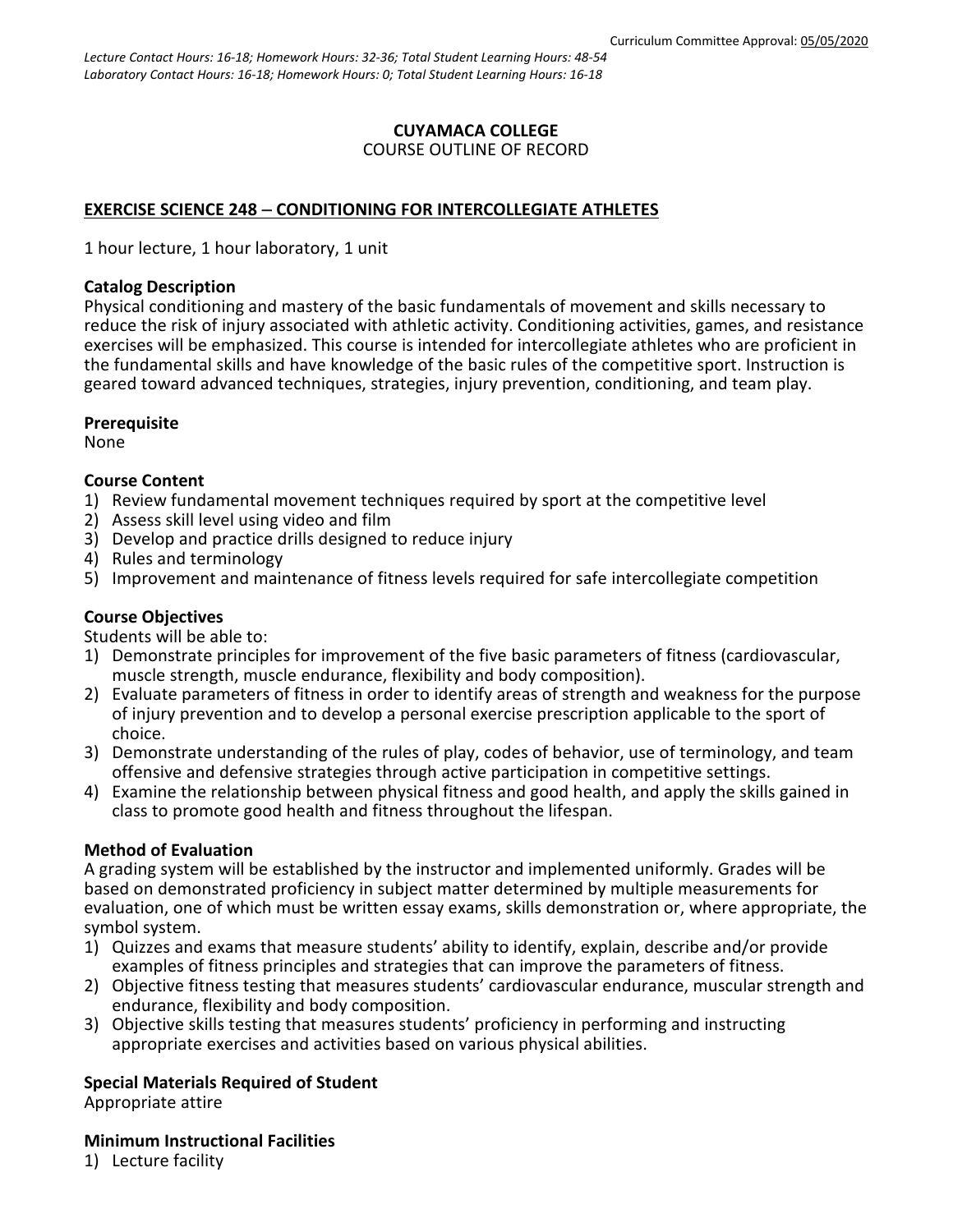# **CUYAMACA COLLEGE**

## COURSE OUTLINE OF RECORD

# **EXERCISE SCIENCE 248** − **CONDITIONING FOR INTERCOLLEGIATE ATHLETES**

1 hour lecture, 1 hour laboratory, 1 unit

## **Catalog Description**

Physical conditioning and mastery of the basic fundamentals of movement and skills necessary to reduce the risk of injury associated with athletic activity. Conditioning activities, games, and resistance exercises will be emphasized. This course is intended for intercollegiate athletes who are proficient in the fundamental skills and have knowledge of the basic rules of the competitive sport. Instruction is geared toward advanced techniques, strategies, injury prevention, conditioning, and team play.

## **Prerequisite**

None

## **Course Content**

- 1) Review fundamental movement techniques required by sport at the competitive level
- 2) Assess skill level using video and film
- 3) Develop and practice drills designed to reduce injury
- 4) Rules and terminology
- 5) Improvement and maintenance of fitness levels required for safe intercollegiate competition

## **Course Objectives**

Students will be able to:

- 1) Demonstrate principles for improvement of the five basic parameters of fitness (cardiovascular, muscle strength, muscle endurance, flexibility and body composition).
- 2) Evaluate parameters of fitness in order to identify areas of strength and weakness for the purpose of injury prevention and to develop a personal exercise prescription applicable to the sport of choice.
- 3) Demonstrate understanding of the rules of play, codes of behavior, use of terminology, and team offensive and defensive strategies through active participation in competitive settings.
- 4) Examine the relationship between physical fitness and good health, and apply the skills gained in class to promote good health and fitness throughout the lifespan.

## **Method of Evaluation**

A grading system will be established by the instructor and implemented uniformly. Grades will be based on demonstrated proficiency in subject matter determined by multiple measurements for evaluation, one of which must be written essay exams, skills demonstration or, where appropriate, the symbol system.

- 1) Quizzes and exams that measure students' ability to identify, explain, describe and/or provide examples of fitness principles and strategies that can improve the parameters of fitness.
- 2) Objective fitness testing that measures students' cardiovascular endurance, muscular strength and endurance, flexibility and body composition.
- 3) Objective skills testing that measures students' proficiency in performing and instructing appropriate exercises and activities based on various physical abilities.

## **Special Materials Required of Student**

Appropriate attire

#### **Minimum Instructional Facilities**

1) Lecture facility